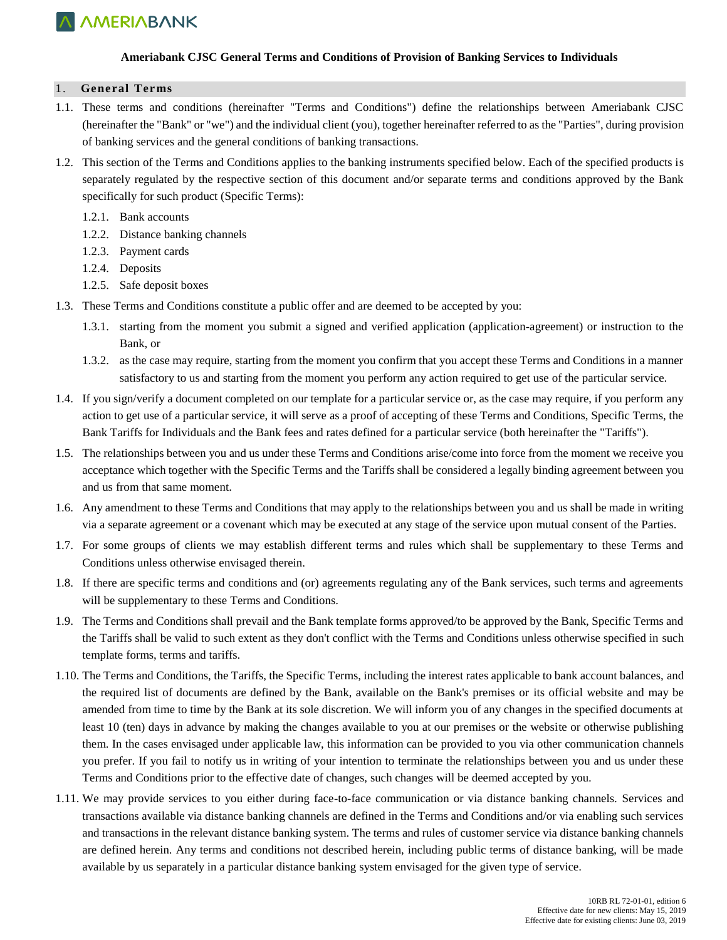

### **Ameriabank CJSC General Terms and Conditions of Provision of Banking Services to Individuals**

#### 1. **General Terms**

- 1.1. These terms and conditions (hereinafter "Terms and Conditions") define the relationships between Ameriabank CJSC (hereinafter the "Bank" or "we") and the individual client (you), together hereinafter referred to as the "Parties", during provision of banking services and the general conditions of banking transactions.
- 1.2. This section of the Terms and Conditions applies to the banking instruments specified below. Each of the specified products is separately regulated by the respective section of this document and/or separate terms and conditions approved by the Bank specifically for such product (Specific Terms):
	- 1.2.1. Bank accounts
	- 1.2.2. Distance banking channels
	- 1.2.3. Payment cards
	- 1.2.4. Deposits
	- 1.2.5. Safe deposit boxes
- 1.3. These Terms and Conditions constitute a public offer and are deemed to be accepted by you:
	- 1.3.1. starting from the moment you submit a signed and verified application (application-agreement) or instruction to the Bank, or
	- 1.3.2. as the case may require, starting from the moment you confirm that you accept these Terms and Conditions in a manner satisfactory to us and starting from the moment you perform any action required to get use of the particular service.
- 1.4. If you sign/verify a document completed on our template for a particular service or, as the case may require, if you perform any action to get use of a particular service, it will serve as a proof of accepting of these Terms and Conditions, Specific Terms, the Bank Tariffs for Individuals and the Bank fees and rates defined for a particular service (both hereinafter the "Tariffs").
- 1.5. The relationships between you and us under these Terms and Conditions arise/come into force from the moment we receive you acceptance which together with the Specific Terms and the Tariffs shall be considered a legally binding agreement between you and us from that same moment.
- 1.6. Any amendment to these Terms and Conditions that may apply to the relationships between you and us shall be made in writing via a separate agreement or a covenant which may be executed at any stage of the service upon mutual consent of the Parties.
- 1.7. For some groups of clients we may establish different terms and rules which shall be supplementary to these Terms and Conditions unless otherwise envisaged therein.
- 1.8. If there are specific terms and conditions and (or) agreements regulating any of the Bank services, such terms and agreements will be supplementary to these Terms and Conditions.
- 1.9. The Terms and Conditions shall prevail and the Bank template forms approved/to be approved by the Bank, Specific Terms and the Tariffs shall be valid to such extent as they don't conflict with the Terms and Conditions unless otherwise specified in such template forms, terms and tariffs.
- 1.10. The Terms and Conditions, the Tariffs, the Specific Terms, including the interest rates applicable to bank account balances, and the required list of documents are defined by the Bank, available on the Bank's premises or its official website and may be amended from time to time by the Bank at its sole discretion. We will inform you of any changes in the specified documents at least 10 (ten) days in advance by making the changes available to you at our premises or the website or otherwise publishing them. In the cases envisaged under applicable law, this information can be provided to you via other communication channels you prefer. If you fail to notify us in writing of your intention to terminate the relationships between you and us under these Terms and Conditions prior to the effective date of changes, such changes will be deemed accepted by you.
- 1.11. We may provide services to you either during face-to-face communication or via distance banking channels. Services and transactions available via distance banking channels are defined in the Terms and Conditions and/or via enabling such services and transactions in the relevant distance banking system. The terms and rules of customer service via distance banking channels are defined herein. Any terms and conditions not described herein, including public terms of distance banking, will be made available by us separately in a particular distance banking system envisaged for the given type of service.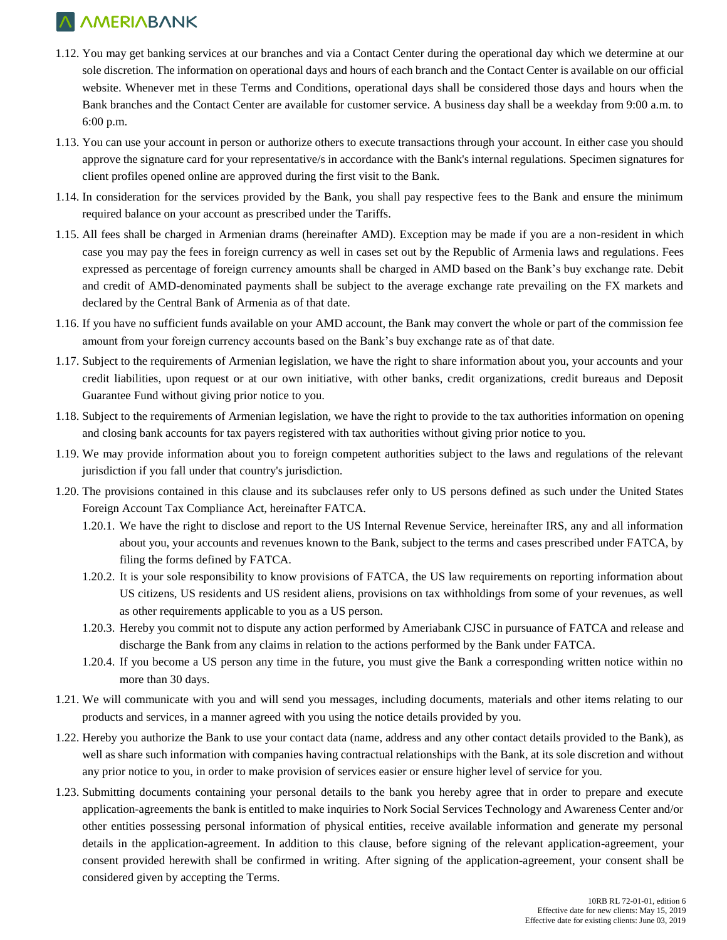- 1.12. You may get banking services at our branches and via a Contact Center during the operational day which we determine at our sole discretion. The information on operational days and hours of each branch and the Contact Center is available on our official website. Whenever met in these Terms and Conditions, operational days shall be considered those days and hours when the Bank branches and the Contact Center are available for customer service. A business day shall be a weekday from 9:00 a.m. to 6:00 p.m.
- 1.13. You can use your account in person or authorize others to execute transactions through your account. In either case you should approve the signature card for your representative/s in accordance with the Bank's internal regulations. Specimen signatures for client profiles opened online are approved during the first visit to the Bank.
- 1.14. In consideration for the services provided by the Bank, you shall pay respective fees to the Bank and ensure the minimum required balance on your account as prescribed under the Tariffs.
- 1.15. All fees shall be charged in Armenian drams (hereinafter AMD). Exception may be made if you are a non-resident in which case you may pay the fees in foreign currency as well in cases set out by the Republic of Armenia laws and regulations. Fees expressed as percentage of foreign currency amounts shall be charged in AMD based on the Bank's buy exchange rate. Debit and credit of AMD-denominated payments shall be subject to the average exchange rate prevailing on the FX markets and declared by the Central Bank of Armenia as of that date.
- 1.16. If you have no sufficient funds available on your AMD account, the Bank may convert the whole or part of the commission fee amount from your foreign currency accounts based on the Bank's buy exchange rate as of that date.
- 1.17. Subject to the requirements of Armenian legislation, we have the right to share information about you, your accounts and your credit liabilities, upon request or at our own initiative, with other banks, credit organizations, credit bureaus and Deposit Guarantee Fund without giving prior notice to you.
- 1.18. Subject to the requirements of Armenian legislation, we have the right to provide to the tax authorities information on opening and closing bank accounts for tax payers registered with tax authorities without giving prior notice to you.
- 1.19. We may provide information about you to foreign competent authorities subject to the laws and regulations of the relevant jurisdiction if you fall under that country's jurisdiction.
- 1.20. The provisions contained in this clause and its subclauses refer only to US persons defined as such under the United States Foreign Account Tax Compliance Act, hereinafter FATCA.
	- 1.20.1. We have the right to disclose and report to the US Internal Revenue Service, hereinafter IRS, any and all information about you, your accounts and revenues known to the Bank, subject to the terms and cases prescribed under FATCA, by filing the forms defined by FATCA.
	- 1.20.2. It is your sole responsibility to know provisions of FATCA, the US law requirements on reporting information about US citizens, US residents and US resident aliens, provisions on tax withholdings from some of your revenues, as well as other requirements applicable to you as a US person.
	- 1.20.3. Hereby you commit not to dispute any action performed by Ameriabank CJSC in pursuance of FATCA and release and discharge the Bank from any claims in relation to the actions performed by the Bank under FATCA.
	- 1.20.4. If you become a US person any time in the future, you must give the Bank a corresponding written notice within no more than 30 days.
- 1.21. We will communicate with you and will send you messages, including documents, materials and other items relating to our products and services, in a manner agreed with you using the notice details provided by you.
- 1.22. Hereby you authorize the Bank to use your contact data (name, address and any other contact details provided to the Bank), as well as share such information with companies having contractual relationships with the Bank, at its sole discretion and without any prior notice to you, in order to make provision of services easier or ensure higher level of service for you.
- 1.23. Submitting documents containing your personal details to the bank you hereby agree that in order to prepare and execute application-agreements the bank is entitled to make inquiries to Nork Social Services Technology and Awareness Center and/or other entities possessing personal information of physical entities, receive available information and generate my personal details in the application-agreement. In addition to this clause, before signing of the relevant application-agreement, your consent provided herewith shall be confirmed in writing. After signing of the application-agreement, your consent shall be considered given by accepting the Terms.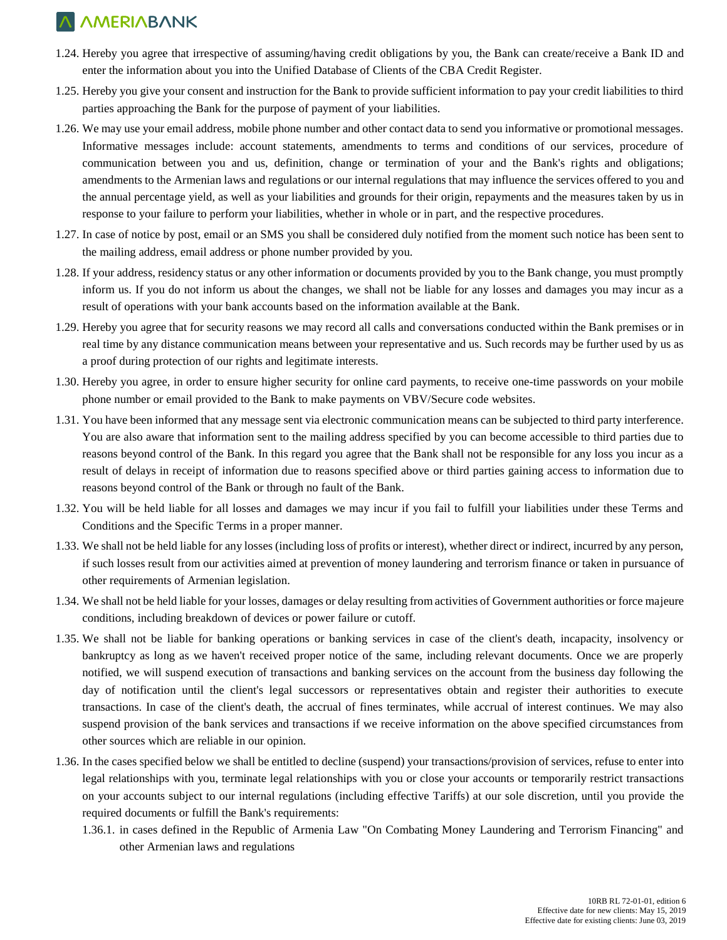- 1.24. Hereby you agree that irrespective of assuming/having credit obligations by you, the Bank can create/receive a Bank ID and enter the information about you into the Unified Database of Clients of the CBA Credit Register.
- 1.25. Hereby you give your consent and instruction for the Bank to provide sufficient information to pay your credit liabilities to third parties approaching the Bank for the purpose of payment of your liabilities.
- 1.26. We may use your email address, mobile phone number and other contact data to send you informative or promotional messages. Informative messages include: account statements, amendments to terms and conditions of our services, procedure of communication between you and us, definition, change or termination of your and the Bank's rights and obligations; amendments to the Armenian laws and regulations or our internal regulations that may influence the services offered to you and the annual percentage yield, as well as your liabilities and grounds for their origin, repayments and the measures taken by us in response to your failure to perform your liabilities, whether in whole or in part, and the respective procedures.
- 1.27. In case of notice by post, email or an SMS you shall be considered duly notified from the moment such notice has been sent to the mailing address, email address or phone number provided by you.
- 1.28. If your address, residency status or any other information or documents provided by you to the Bank change, you must promptly inform us. If you do not inform us about the changes, we shall not be liable for any losses and damages you may incur as a result of operations with your bank accounts based on the information available at the Bank.
- 1.29. Hereby you agree that for security reasons we may record all calls and conversations conducted within the Bank premises or in real time by any distance communication means between your representative and us. Such records may be further used by us as a proof during protection of our rights and legitimate interests.
- 1.30. Hereby you agree, in order to ensure higher security for online card payments, to receive one-time passwords on your mobile phone number or email provided to the Bank to make payments on VBV/Secure code websites.
- 1.31. You have been informed that any message sent via electronic communication means can be subjected to third party interference. You are also aware that information sent to the mailing address specified by you can become accessible to third parties due to reasons beyond control of the Bank. In this regard you agree that the Bank shall not be responsible for any loss you incur as a result of delays in receipt of information due to reasons specified above or third parties gaining access to information due to reasons beyond control of the Bank or through no fault of the Bank.
- 1.32. You will be held liable for all losses and damages we may incur if you fail to fulfill your liabilities under these Terms and Conditions and the Specific Terms in a proper manner.
- 1.33. We shall not be held liable for any losses (including loss of profits or interest), whether direct or indirect, incurred by any person, if such losses result from our activities aimed at prevention of money laundering and terrorism finance or taken in pursuance of other requirements of Armenian legislation.
- 1.34. We shall not be held liable for your losses, damages or delay resulting from activities of Government authorities or force majeure conditions, including breakdown of devices or power failure or cutoff.
- 1.35. We shall not be liable for banking operations or banking services in case of the client's death, incapacity, insolvency or bankruptcy as long as we haven't received proper notice of the same, including relevant documents. Once we are properly notified, we will suspend execution of transactions and banking services on the account from the business day following the day of notification until the client's legal successors or representatives obtain and register their authorities to execute transactions. In case of the client's death, the accrual of fines terminates, while accrual of interest continues. We may also suspend provision of the bank services and transactions if we receive information on the above specified circumstances from other sources which are reliable in our opinion.
- 1.36. In the cases specified below we shall be entitled to decline (suspend) your transactions/provision of services, refuse to enter into legal relationships with you, terminate legal relationships with you or close your accounts or temporarily restrict transactions on your accounts subject to our internal regulations (including effective Tariffs) at our sole discretion, until you provide the required documents or fulfill the Bank's requirements:
	- 1.36.1. in cases defined in the Republic of Armenia Law "On Combating Money Laundering and Terrorism Financing" and other Armenian laws and regulations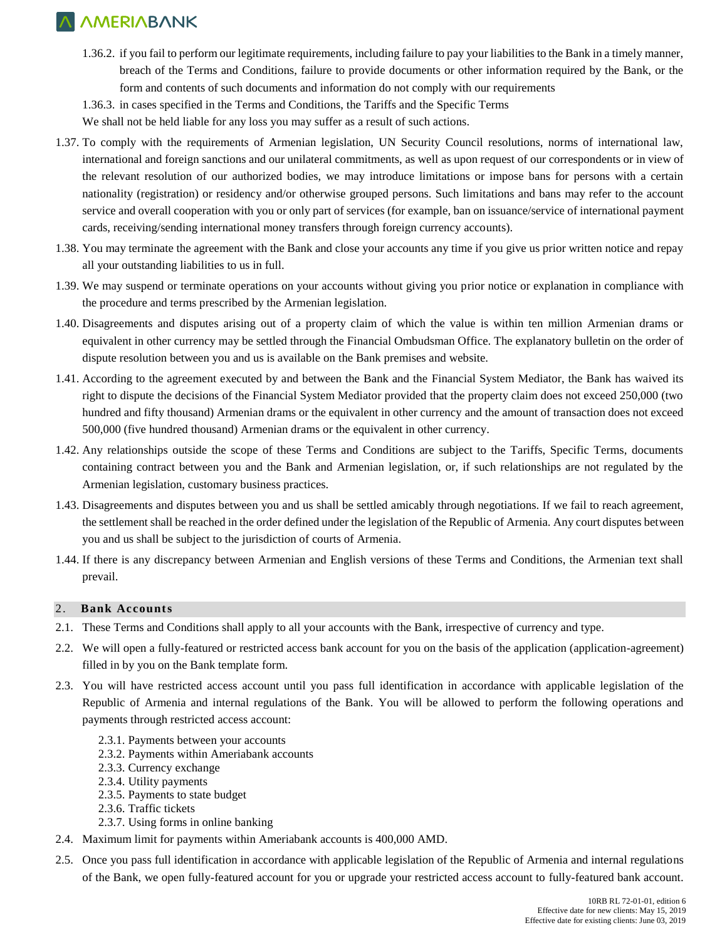- 1.36.2. if you fail to perform our legitimate requirements, including failure to pay your liabilities to the Bank in a timely manner, breach of the Terms and Conditions, failure to provide documents or other information required by the Bank, or the form and contents of such documents and information do not comply with our requirements
- 1.36.3. in cases specified in the Terms and Conditions, the Tariffs and the Specific Terms

We shall not be held liable for any loss you may suffer as a result of such actions.

- 1.37. To comply with the requirements of Armenian legislation, UN Security Council resolutions, norms of international law, international and foreign sanctions and our unilateral commitments, as well as upon request of our correspondents or in view of the relevant resolution of our authorized bodies, we may introduce limitations or impose bans for persons with a certain nationality (registration) or residency and/or otherwise grouped persons. Such limitations and bans may refer to the account service and overall cooperation with you or only part of services (for example, ban on issuance/service of international payment cards, receiving/sending international money transfers through foreign currency accounts).
- 1.38. You may terminate the agreement with the Bank and close your accounts any time if you give us prior written notice and repay all your outstanding liabilities to us in full.
- 1.39. We may suspend or terminate operations on your accounts without giving you prior notice or explanation in compliance with the procedure and terms prescribed by the Armenian legislation.
- 1.40. Disagreements and disputes arising out of a property claim of which the value is within ten million Armenian drams or equivalent in other currency may be settled through the Financial Ombudsman Office. The explanatory bulletin on the order of dispute resolution between you and us is available on the Bank premises and website.
- 1.41. According to the agreement executed by and between the Bank and the Financial System Mediator, the Bank has waived its right to dispute the decisions of the Financial System Mediator provided that the property claim does not exceed 250,000 (two hundred and fifty thousand) Armenian drams or the equivalent in other currency and the amount of transaction does not exceed 500,000 (five hundred thousand) Armenian drams or the equivalent in other currency.
- 1.42. Any relationships outside the scope of these Terms and Conditions are subject to the Tariffs, Specific Terms, documents containing contract between you and the Bank and Armenian legislation, or, if such relationships are not regulated by the Armenian legislation, customary business practices.
- 1.43. Disagreements and disputes between you and us shall be settled amicably through negotiations. If we fail to reach agreement, the settlement shall be reached in the order defined under the legislation of the Republic of Armenia. Any court disputes between you and us shall be subject to the jurisdiction of courts of Armenia.
- 1.44. If there is any discrepancy between Armenian and English versions of these Terms and Conditions, the Armenian text shall prevail.

### 2. **Bank Accounts**

- 2.1. These Terms and Conditions shall apply to all your accounts with the Bank, irrespective of currency and type.
- 2.2. We will open a fully-featured or restricted access bank account for you on the basis of the application (application-agreement) filled in by you on the Bank template form.
- 2.3. You will have restricted access account until you pass full identification in accordance with applicable legislation of the Republic of Armenia and internal regulations of the Bank. You will be allowed to perform the following operations and payments through restricted access account:
	- 2.3.1. Payments between your accounts
	- 2.3.2. Payments within Ameriabank accounts
	- 2.3.3. Currency exchange
	- 2.3.4. Utility payments
	- 2.3.5. Payments to state budget
	- 2.3.6. Traffic tickets
	- 2.3.7. Using forms in online banking
- 2.4. Maximum limit for payments within Ameriabank accounts is 400,000 AMD.
- 2.5. Once you pass full identification in accordance with applicable legislation of the Republic of Armenia and internal regulations of the Bank, we open fully-featured account for you or upgrade your restricted access account to fully-featured bank account.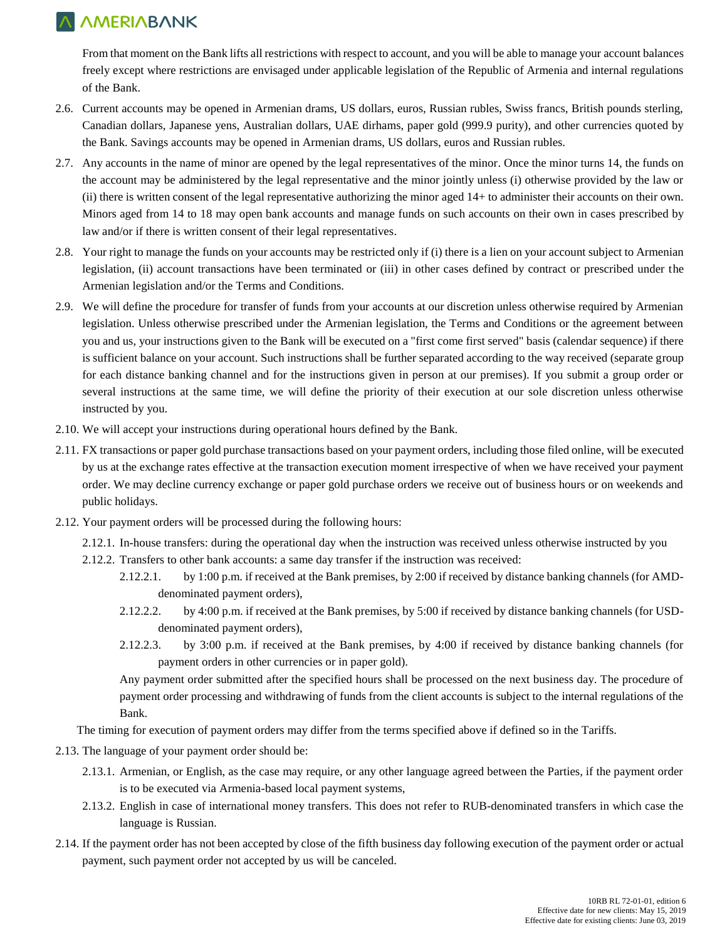From that moment on the Bank lifts all restrictions with respect to account, and you will be able to manage your account balances freely except where restrictions are envisaged under applicable legislation of the Republic of Armenia and internal regulations of the Bank.

- 2.6. Current accounts may be opened in Armenian drams, US dollars, euros, Russian rubles, Swiss francs, British pounds sterling, Canadian dollars, Japanese yens, Australian dollars, UAE dirhams, paper gold (999.9 purity), and other currencies quoted by the Bank. Savings accounts may be opened in Armenian drams, US dollars, euros and Russian rubles.
- 2.7. Any accounts in the name of minor are opened by the legal representatives of the minor. Once the minor turns 14, the funds on the account may be administered by the legal representative and the minor jointly unless (i) otherwise provided by the law or (ii) there is written consent of the legal representative authorizing the minor aged 14+ to administer their accounts on their own. Minors aged from 14 to 18 may open bank accounts and manage funds on such accounts on their own in cases prescribed by law and/or if there is written consent of their legal representatives.
- 2.8. Your right to manage the funds on your accounts may be restricted only if (i) there is a lien on your account subject to Armenian legislation, (ii) account transactions have been terminated or (iii) in other cases defined by contract or prescribed under the Armenian legislation and/or the Terms and Conditions.
- 2.9. We will define the procedure for transfer of funds from your accounts at our discretion unless otherwise required by Armenian legislation. Unless otherwise prescribed under the Armenian legislation, the Terms and Conditions or the agreement between you and us, your instructions given to the Bank will be executed on a "first come first served" basis (calendar sequence) if there is sufficient balance on your account. Such instructions shall be further separated according to the way received (separate group for each distance banking channel and for the instructions given in person at our premises). If you submit a group order or several instructions at the same time, we will define the priority of their execution at our sole discretion unless otherwise instructed by you.
- 2.10. We will accept your instructions during operational hours defined by the Bank.
- 2.11. FX transactions or paper gold purchase transactions based on your payment orders, including those filed online, will be executed by us at the exchange rates effective at the transaction execution moment irrespective of when we have received your payment order. We may decline currency exchange or paper gold purchase orders we receive out of business hours or on weekends and public holidays.
- 2.12. Your payment orders will be processed during the following hours:
	- 2.12.1. In-house transfers: during the operational day when the instruction was received unless otherwise instructed by you
		- 2.12.2. Transfers to other bank accounts: a same day transfer if the instruction was received:
			- 2.12.2.1. by 1:00 p.m. if received at the Bank premises, by 2:00 if received by distance banking channels (for AMDdenominated payment orders),
			- 2.12.2.2. by 4:00 p.m. if received at the Bank premises, by 5:00 if received by distance banking channels (for USDdenominated payment orders),
			- 2.12.2.3. by 3:00 p.m. if received at the Bank premises, by 4:00 if received by distance banking channels (for payment orders in other currencies or in paper gold).

Any payment order submitted after the specified hours shall be processed on the next business day. The procedure of payment order processing and withdrawing of funds from the client accounts is subject to the internal regulations of the Bank.

The timing for execution of payment orders may differ from the terms specified above if defined so in the Tariffs.

- 2.13. The language of your payment order should be:
	- 2.13.1. Armenian, or English, as the case may require, or any other language agreed between the Parties, if the payment order is to be executed via Armenia-based local payment systems,
	- 2.13.2. English in case of international money transfers. This does not refer to RUB-denominated transfers in which case the language is Russian.
- 2.14. If the payment order has not been accepted by close of the fifth business day following execution of the payment order or actual payment, such payment order not accepted by us will be canceled.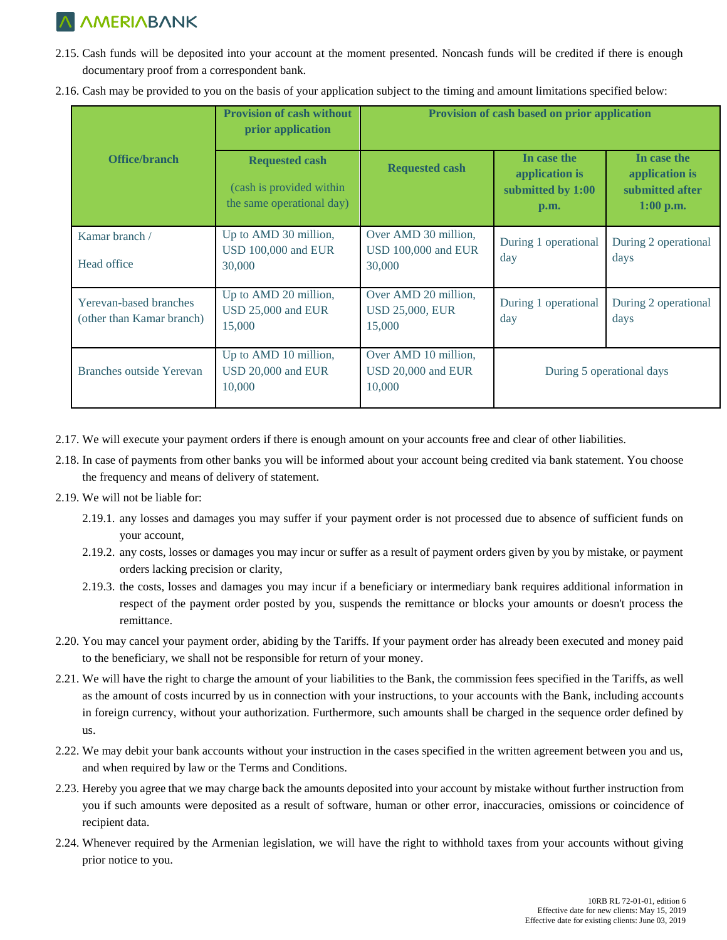- 2.15. Cash funds will be deposited into your account at the moment presented. Noncash funds will be credited if there is enough documentary proof from a correspondent bank.
- 2.16. Cash may be provided to you on the basis of your application subject to the timing and amount limitations specified below:

|                                                     | <b>Provision of cash without</b><br>prior application                          | Provision of cash based on prior application                 |                                                            |                                                                 |
|-----------------------------------------------------|--------------------------------------------------------------------------------|--------------------------------------------------------------|------------------------------------------------------------|-----------------------------------------------------------------|
| Office/branch                                       | <b>Requested cash</b><br>(cash is provided within<br>the same operational day) | <b>Requested cash</b>                                        | In case the<br>application is<br>submitted by 1:00<br>p.m. | In case the<br>application is<br>submitted after<br>$1:00$ p.m. |
| Kamar branch /<br>Head office                       | Up to AMD 30 million,<br><b>USD 100,000 and EUR</b><br>30,000                  | Over AMD 30 million,<br><b>USD 100,000 and EUR</b><br>30,000 | During 1 operational<br>day                                | During 2 operational<br>days                                    |
| Yerevan-based branches<br>(other than Kamar branch) | Up to AMD 20 million,<br>USD 25,000 and EUR<br>15,000                          | Over AMD 20 million,<br><b>USD 25,000, EUR</b><br>15,000     | During 1 operational<br>day                                | During 2 operational<br>days                                    |
| Branches outside Yerevan                            | Up to AMD 10 million,<br>USD 20,000 and EUR<br>10,000                          | Over AMD 10 million,<br>USD 20,000 and EUR<br>10,000         | During 5 operational days                                  |                                                                 |

- 2.17. We will execute your payment orders if there is enough amount on your accounts free and clear of other liabilities.
- 2.18. In case of payments from other banks you will be informed about your account being credited via bank statement. You choose the frequency and means of delivery of statement.
- 2.19. We will not be liable for:
	- 2.19.1. any losses and damages you may suffer if your payment order is not processed due to absence of sufficient funds on your account,
	- 2.19.2. any costs, losses or damages you may incur or suffer as a result of payment orders given by you by mistake, or payment orders lacking precision or clarity,
	- 2.19.3. the costs, losses and damages you may incur if a beneficiary or intermediary bank requires additional information in respect of the payment order posted by you, suspends the remittance or blocks your amounts or doesn't process the remittance.
- 2.20. You may cancel your payment order, abiding by the Tariffs. If your payment order has already been executed and money paid to the beneficiary, we shall not be responsible for return of your money.
- 2.21. We will have the right to charge the amount of your liabilities to the Bank, the commission fees specified in the Tariffs, as well as the amount of costs incurred by us in connection with your instructions, to your accounts with the Bank, including accounts in foreign currency, without your authorization. Furthermore, such amounts shall be charged in the sequence order defined by us.
- 2.22. We may debit your bank accounts without your instruction in the cases specified in the written agreement between you and us, and when required by law or the Terms and Conditions.
- 2.23. Hereby you agree that we may charge back the amounts deposited into your account by mistake without further instruction from you if such amounts were deposited as a result of software, human or other error, inaccuracies, omissions or coincidence of recipient data.
- 2.24. Whenever required by the Armenian legislation, we will have the right to withhold taxes from your accounts without giving prior notice to you.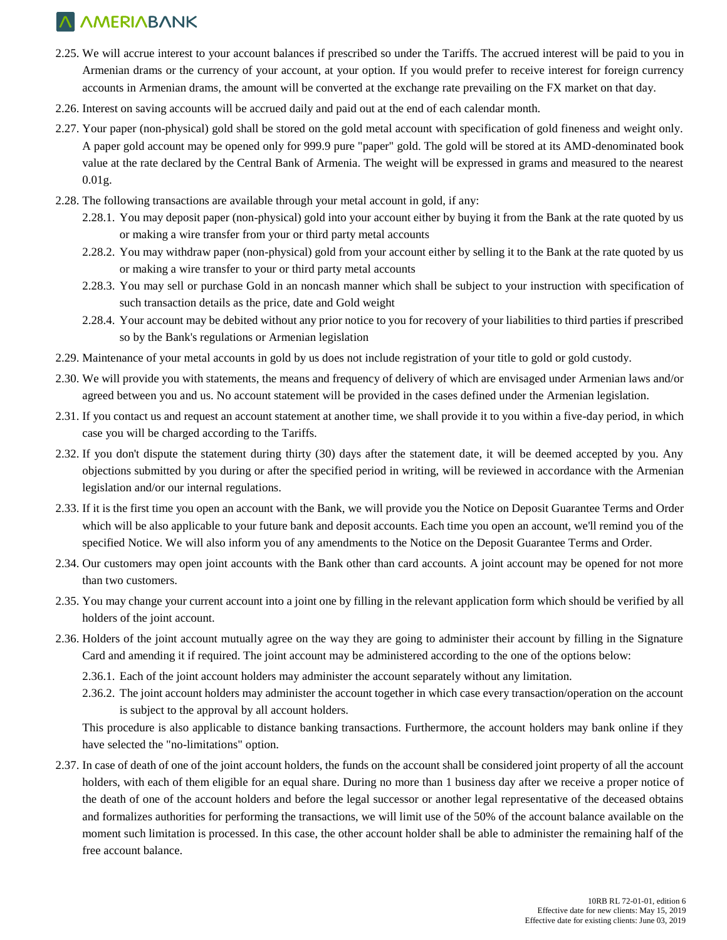- 2.25. We will accrue interest to your account balances if prescribed so under the Tariffs. The accrued interest will be paid to you in Armenian drams or the currency of your account, at your option. If you would prefer to receive interest for foreign currency accounts in Armenian drams, the amount will be converted at the exchange rate prevailing on the FX market on that day.
- 2.26. Interest on saving accounts will be accrued daily and paid out at the end of each calendar month.
- 2.27. Your paper (non-physical) gold shall be stored on the gold metal account with specification of gold fineness and weight only. A paper gold account may be opened only for 999.9 pure "paper" gold. The gold will be stored at its AMD-denominated book value at the rate declared by the Central Bank of Armenia. The weight will be expressed in grams and measured to the nearest 0.01g.
- 2.28. The following transactions are available through your metal account in gold, if any:
	- 2.28.1. You may deposit paper (non-physical) gold into your account either by buying it from the Bank at the rate quoted by us or making a wire transfer from your or third party metal accounts
	- 2.28.2. You may withdraw paper (non-physical) gold from your account either by selling it to the Bank at the rate quoted by us or making a wire transfer to your or third party metal accounts
	- 2.28.3. You may sell or purchase Gold in an noncash manner which shall be subject to your instruction with specification of such transaction details as the price, date and Gold weight
	- 2.28.4. Your account may be debited without any prior notice to you for recovery of your liabilities to third parties if prescribed so by the Bank's regulations or Armenian legislation
- 2.29. Maintenance of your metal accounts in gold by us does not include registration of your title to gold or gold custody.
- 2.30. We will provide you with statements, the means and frequency of delivery of which are envisaged under Armenian laws and/or agreed between you and us. No account statement will be provided in the cases defined under the Armenian legislation.
- 2.31. If you contact us and request an account statement at another time, we shall provide it to you within a five-day period, in which case you will be charged according to the Tariffs.
- 2.32. If you don't dispute the statement during thirty (30) days after the statement date, it will be deemed accepted by you. Any objections submitted by you during or after the specified period in writing, will be reviewed in accordance with the Armenian legislation and/or our internal regulations.
- 2.33. If it is the first time you open an account with the Bank, we will provide you the Notice on Deposit Guarantee Terms and Order which will be also applicable to your future bank and deposit accounts. Each time you open an account, we'll remind you of the specified Notice. We will also inform you of any amendments to the Notice on the Deposit Guarantee Terms and Order.
- 2.34. Our customers may open joint accounts with the Bank other than card accounts. A joint account may be opened for not more than two customers.
- 2.35. You may change your current account into a joint one by filling in the relevant application form which should be verified by all holders of the joint account.
- 2.36. Holders of the joint account mutually agree on the way they are going to administer their account by filling in the Signature Card and amending it if required. The joint account may be administered according to the one of the options below:
	- 2.36.1. Each of the joint account holders may administer the account separately without any limitation.
	- 2.36.2. The joint account holders may administer the account together in which case every transaction/operation on the account is subject to the approval by all account holders.

This procedure is also applicable to distance banking transactions. Furthermore, the account holders may bank online if they have selected the "no-limitations" option.

2.37. In case of death of one of the joint account holders, the funds on the account shall be considered joint property of all the account holders, with each of them eligible for an equal share. During no more than 1 business day after we receive a proper notice of the death of one of the account holders and before the legal successor or another legal representative of the deceased obtains and formalizes authorities for performing the transactions, we will limit use of the 50% of the account balance available on the moment such limitation is processed. In this case, the other account holder shall be able to administer the remaining half of the free account balance.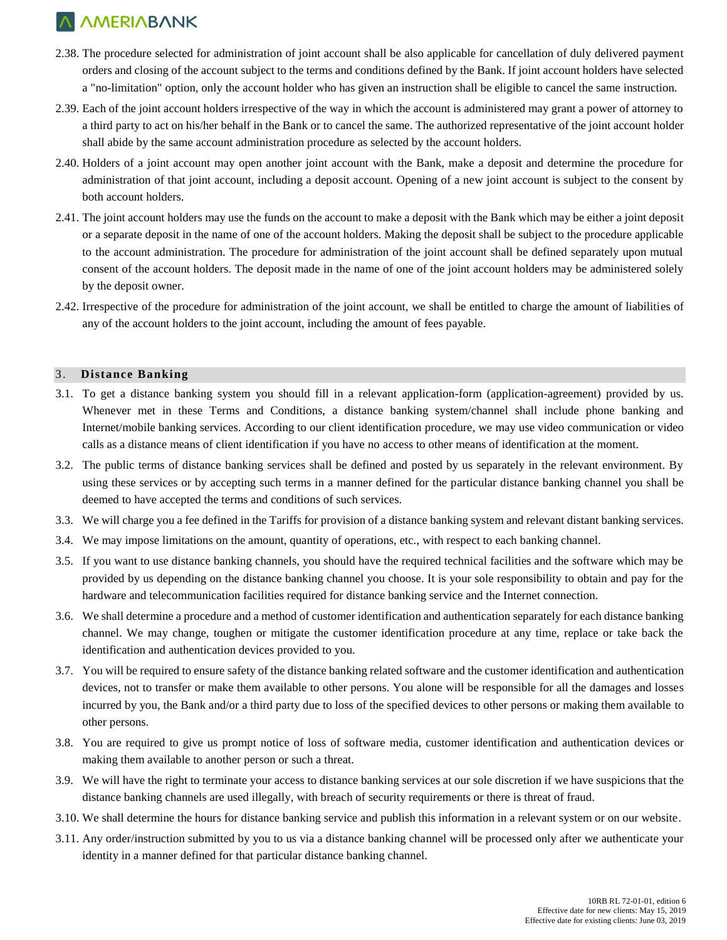- 2.38. The procedure selected for administration of joint account shall be also applicable for cancellation of duly delivered payment orders and closing of the account subject to the terms and conditions defined by the Bank. If joint account holders have selected a "no-limitation" option, only the account holder who has given an instruction shall be eligible to cancel the same instruction.
- 2.39. Each of the joint account holders irrespective of the way in which the account is administered may grant a power of attorney to a third party to act on his/her behalf in the Bank or to cancel the same. The authorized representative of the joint account holder shall abide by the same account administration procedure as selected by the account holders.
- 2.40. Holders of a joint account may open another joint account with the Bank, make a deposit and determine the procedure for administration of that joint account, including a deposit account. Opening of a new joint account is subject to the consent by both account holders.
- 2.41. The joint account holders may use the funds on the account to make a deposit with the Bank which may be either a joint deposit or a separate deposit in the name of one of the account holders. Making the deposit shall be subject to the procedure applicable to the account administration. The procedure for administration of the joint account shall be defined separately upon mutual consent of the account holders. The deposit made in the name of one of the joint account holders may be administered solely by the deposit owner.
- 2.42. Irrespective of the procedure for administration of the joint account, we shall be entitled to charge the amount of liabilities of any of the account holders to the joint account, including the amount of fees payable.

#### 3. **Distance Banking**

- 3.1. To get a distance banking system you should fill in a relevant application-form (application-agreement) provided by us. Whenever met in these Terms and Conditions, a distance banking system/channel shall include phone banking and Internet/mobile banking services. According to our client identification procedure, we may use video communication or video calls as a distance means of client identification if you have no access to other means of identification at the moment.
- 3.2. The public terms of distance banking services shall be defined and posted by us separately in the relevant environment. By using these services or by accepting such terms in a manner defined for the particular distance banking channel you shall be deemed to have accepted the terms and conditions of such services.
- 3.3. We will charge you a fee defined in the Tariffs for provision of a distance banking system and relevant distant banking services.
- 3.4. We may impose limitations on the amount, quantity of operations, etc., with respect to each banking channel.
- 3.5. If you want to use distance banking channels, you should have the required technical facilities and the software which may be provided by us depending on the distance banking channel you choose. It is your sole responsibility to obtain and pay for the hardware and telecommunication facilities required for distance banking service and the Internet connection.
- 3.6. We shall determine a procedure and a method of customer identification and authentication separately for each distance banking channel. We may change, toughen or mitigate the customer identification procedure at any time, replace or take back the identification and authentication devices provided to you.
- 3.7. You will be required to ensure safety of the distance banking related software and the customer identification and authentication devices, not to transfer or make them available to other persons. You alone will be responsible for all the damages and losses incurred by you, the Bank and/or a third party due to loss of the specified devices to other persons or making them available to other persons.
- 3.8. You are required to give us prompt notice of loss of software media, customer identification and authentication devices or making them available to another person or such a threat.
- 3.9. We will have the right to terminate your access to distance banking services at our sole discretion if we have suspicions that the distance banking channels are used illegally, with breach of security requirements or there is threat of fraud.
- 3.10. We shall determine the hours for distance banking service and publish this information in a relevant system or on our website.
- 3.11. Any order/instruction submitted by you to us via a distance banking channel will be processed only after we authenticate your identity in a manner defined for that particular distance banking channel.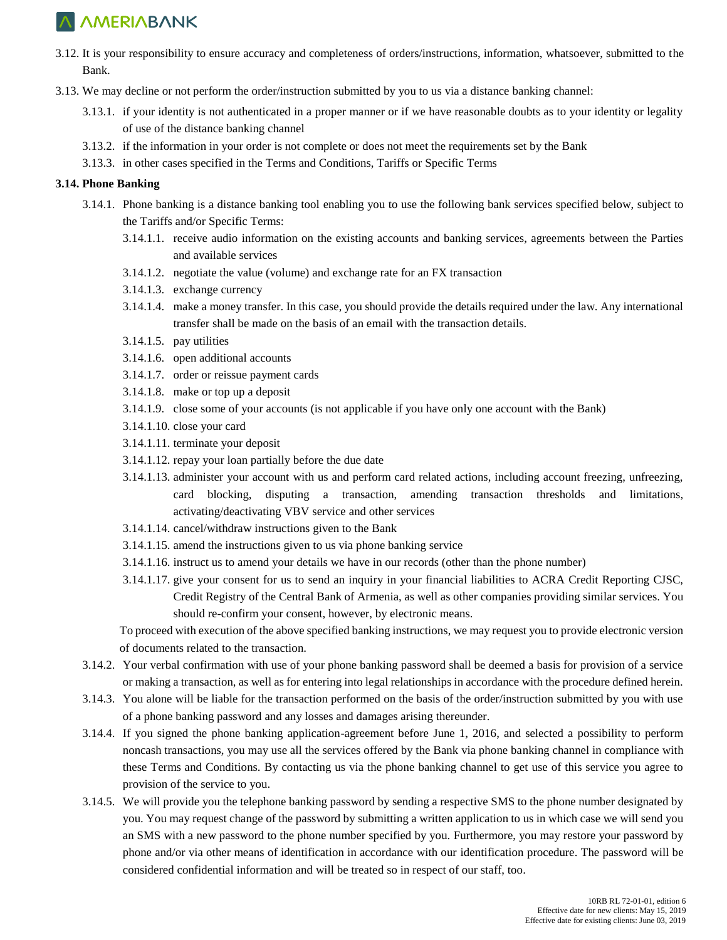- 3.12. It is your responsibility to ensure accuracy and completeness of orders/instructions, information, whatsoever, submitted to the Bank.
- 3.13. We may decline or not perform the order/instruction submitted by you to us via a distance banking channel:
	- 3.13.1. if your identity is not authenticated in a proper manner or if we have reasonable doubts as to your identity or legality of use of the distance banking channel
	- 3.13.2. if the information in your order is not complete or does not meet the requirements set by the Bank
	- 3.13.3. in other cases specified in the Terms and Conditions, Tariffs or Specific Terms

### **3.14. Phone Banking**

- 3.14.1. Phone banking is a distance banking tool enabling you to use the following bank services specified below, subject to the Tariffs and/or Specific Terms:
	- 3.14.1.1. receive audio information on the existing accounts and banking services, agreements between the Parties and available services
	- 3.14.1.2. negotiate the value (volume) and exchange rate for an FX transaction
	- 3.14.1.3. exchange currency
	- 3.14.1.4. make a money transfer. In this case, you should provide the details required under the law. Any international transfer shall be made on the basis of an email with the transaction details.
	- 3.14.1.5. pay utilities
	- 3.14.1.6. open additional accounts
	- 3.14.1.7. order or reissue payment cards
	- 3.14.1.8. make or top up a deposit
	- 3.14.1.9. close some of your accounts (is not applicable if you have only one account with the Bank)
	- 3.14.1.10. close your card
	- 3.14.1.11. terminate your deposit
	- 3.14.1.12. repay your loan partially before the due date
	- 3.14.1.13. administer your account with us and perform card related actions, including account freezing, unfreezing, card blocking, disputing a transaction, amending transaction thresholds and limitations, activating/deactivating VBV service and other services
	- 3.14.1.14. cancel/withdraw instructions given to the Bank
	- 3.14.1.15. amend the instructions given to us via phone banking service
	- 3.14.1.16. instruct us to amend your details we have in our records (other than the phone number)
	- 3.14.1.17. give your consent for us to send an inquiry in your financial liabilities to ACRA Credit Reporting CJSC, Credit Registry of the Central Bank of Armenia, as well as other companies providing similar services. You should re-confirm your consent, however, by electronic means.

To proceed with execution of the above specified banking instructions, we may request you to provide electronic version of documents related to the transaction.

- 3.14.2. Your verbal confirmation with use of your phone banking password shall be deemed a basis for provision of a service or making a transaction, as well as for entering into legal relationships in accordance with the procedure defined herein.
- 3.14.3. You alone will be liable for the transaction performed on the basis of the order/instruction submitted by you with use of a phone banking password and any losses and damages arising thereunder.
- 3.14.4. If you signed the phone banking application-agreement before June 1, 2016, and selected a possibility to perform noncash transactions, you may use all the services offered by the Bank via phone banking channel in compliance with these Terms and Conditions. By contacting us via the phone banking channel to get use of this service you agree to provision of the service to you.
- 3.14.5. We will provide you the telephone banking password by sending a respective SMS to the phone number designated by you. You may request change of the password by submitting a written application to us in which case we will send you an SMS with a new password to the phone number specified by you. Furthermore, you may restore your password by phone and/or via other means of identification in accordance with our identification procedure. The password will be considered confidential information and will be treated so in respect of our staff, too.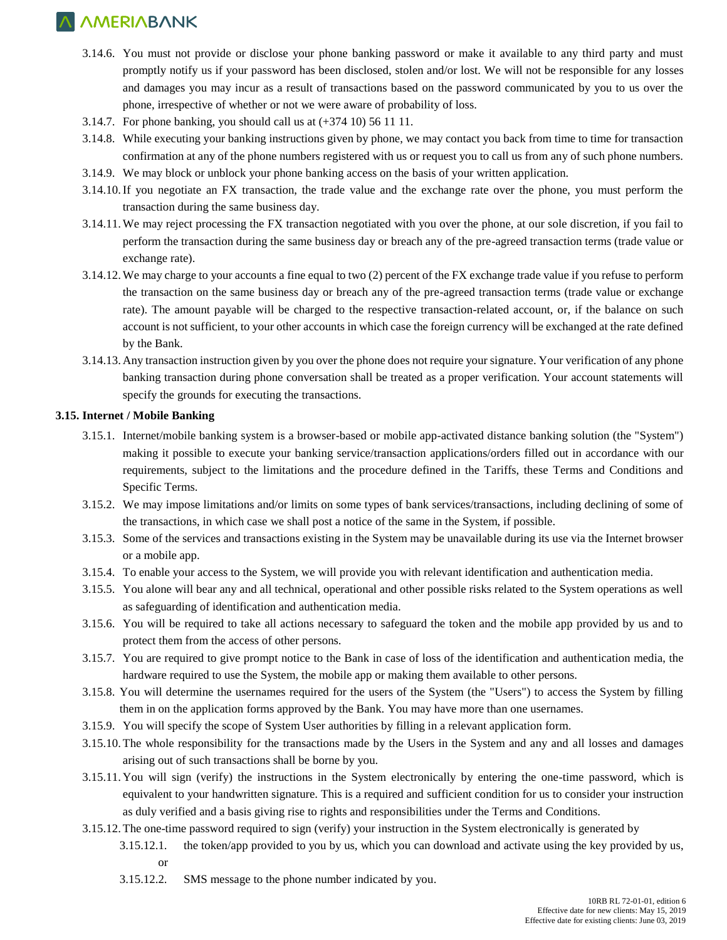- 3.14.6. You must not provide or disclose your phone banking password or make it available to any third party and must promptly notify us if your password has been disclosed, stolen and/or lost. We will not be responsible for any losses and damages you may incur as a result of transactions based on the password communicated by you to us over the phone, irrespective of whether or not we were aware of probability of loss.
- 3.14.7. For phone banking, you should call us at (+374 10) 56 11 11.
- 3.14.8. While executing your banking instructions given by phone, we may contact you back from time to time for transaction confirmation at any of the phone numbers registered with us or request you to call us from any of such phone numbers.
- 3.14.9. We may block or unblock your phone banking access on the basis of your written application.
- 3.14.10.If you negotiate an FX transaction, the trade value and the exchange rate over the phone, you must perform the transaction during the same business day.
- 3.14.11.We may reject processing the FX transaction negotiated with you over the phone, at our sole discretion, if you fail to perform the transaction during the same business day or breach any of the pre-agreed transaction terms (trade value or exchange rate).
- 3.14.12.We may charge to your accounts a fine equal to two (2) percent of the FX exchange trade value if you refuse to perform the transaction on the same business day or breach any of the pre-agreed transaction terms (trade value or exchange rate). The amount payable will be charged to the respective transaction-related account, or, if the balance on such account is not sufficient, to your other accounts in which case the foreign currency will be exchanged at the rate defined by the Bank.
- 3.14.13. Any transaction instruction given by you over the phone does not require your signature. Your verification of any phone banking transaction during phone conversation shall be treated as a proper verification. Your account statements will specify the grounds for executing the transactions.

### **3.15. Internet / Mobile Banking**

- 3.15.1. Internet/mobile banking system is a browser-based or mobile app-activated distance banking solution (the "System") making it possible to execute your banking service/transaction applications/orders filled out in accordance with our requirements, subject to the limitations and the procedure defined in the Tariffs, these Terms and Conditions and Specific Terms.
- 3.15.2. We may impose limitations and/or limits on some types of bank services/transactions, including declining of some of the transactions, in which case we shall post a notice of the same in the System, if possible.
- 3.15.3. Some of the services and transactions existing in the System may be unavailable during its use via the Internet browser or a mobile app.
- 3.15.4. To enable your access to the System, we will provide you with relevant identification and authentication media.
- 3.15.5. You alone will bear any and all technical, operational and other possible risks related to the System operations as well as safeguarding of identification and authentication media.
- 3.15.6. You will be required to take all actions necessary to safeguard the token and the mobile app provided by us and to protect them from the access of other persons.
- 3.15.7. You are required to give prompt notice to the Bank in case of loss of the identification and authentication media, the hardware required to use the System, the mobile app or making them available to other persons.
- 3.15.8. You will determine the usernames required for the users of the System (the "Users") to access the System by filling them in on the application forms approved by the Bank. You may have more than one usernames.
- 3.15.9. You will specify the scope of System User authorities by filling in a relevant application form.
- 3.15.10. The whole responsibility for the transactions made by the Users in the System and any and all losses and damages arising out of such transactions shall be borne by you.
- 3.15.11. You will sign (verify) the instructions in the System electronically by entering the one-time password, which is equivalent to your handwritten signature. This is a required and sufficient condition for us to consider your instruction as duly verified and a basis giving rise to rights and responsibilities under the Terms and Conditions.
- 3.15.12. The one-time password required to sign (verify) your instruction in the System electronically is generated by
	- 3.15.12.1. the token/app provided to you by us, which you can download and activate using the key provided by us, or
	- 3.15.12.2. SMS message to the phone number indicated by you.